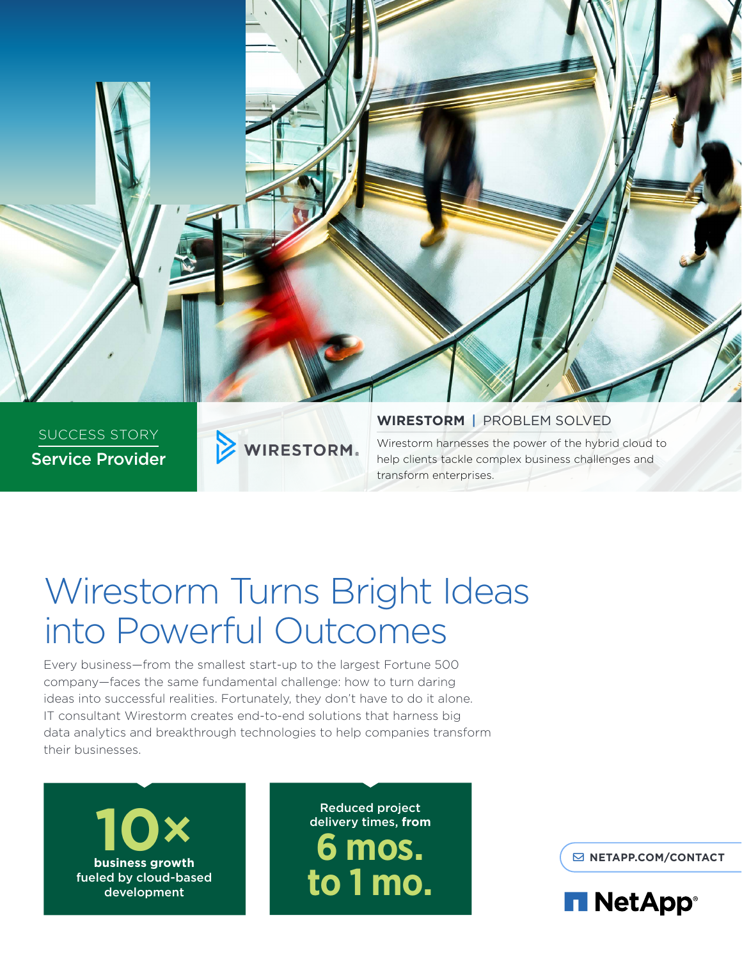

# Wirestorm Turns Bright Ideas into Powerful Outcomes

Every business—from the smallest start-up to the largest Fortune 500 company—faces the same fundamental challenge: how to turn daring ideas into successful realities. Fortunately, they don't have to do it alone. IT consultant Wirestorm creates end-to-end solutions that harness big data analytics and breakthrough technologies to help companies transform their businesses.



Reduced project delivery times, **from 6 mos. to 1 mo.**

**[NETAPP.COM/CONTACT](http://www.netapp.com/us/contact-us/index.aspx)**

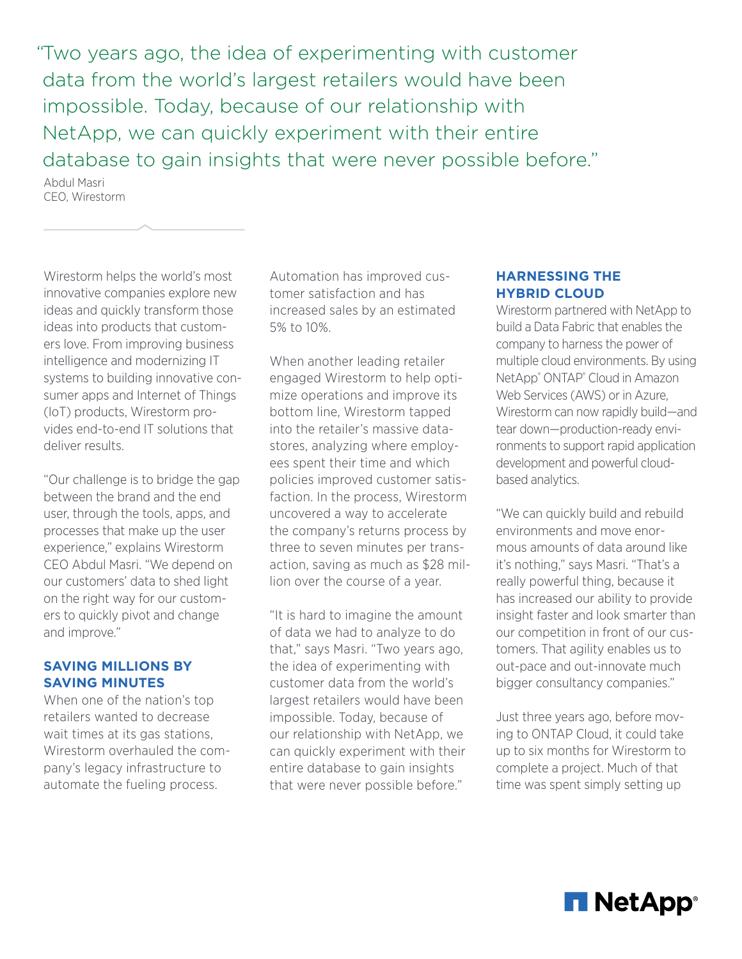"Two years ago, the idea of experimenting with customer data from the world's largest retailers would have been impossible. Today, because of our relationship with NetApp, we can quickly experiment with their entire database to gain insights that were never possible before."

Abdul Masri CEO, Wirestorm

Wirestorm helps the world's most innovative companies explore new ideas and quickly transform those ideas into products that customers love. From improving business intelligence and modernizing IT systems to building innovative consumer apps and Internet of Things (IoT) products, Wirestorm provides end-to-end IT solutions that deliver results.

"Our challenge is to bridge the gap between the brand and the end user, through the tools, apps, and processes that make up the user experience," explains Wirestorm CEO Abdul Masri. "We depend on our customers' data to shed light on the right way for our customers to quickly pivot and change and improve."

## **SAVING MILLIONS BY SAVING MINUTES**

When one of the nation's top retailers wanted to decrease wait times at its gas stations, Wirestorm overhauled the company's legacy infrastructure to automate the fueling process.

Automation has improved customer satisfaction and has increased sales by an estimated 5% to 10%.

When another leading retailer engaged Wirestorm to help optimize operations and improve its bottom line, Wirestorm tapped into the retailer's massive datastores, analyzing where employees spent their time and which policies improved customer satisfaction. In the process, Wirestorm uncovered a way to accelerate the company's returns process by three to seven minutes per transaction, saving as much as \$28 million over the course of a year.

"It is hard to imagine the amount of data we had to analyze to do that," says Masri. "Two years ago, the idea of experimenting with customer data from the world's largest retailers would have been impossible. Today, because of our relationship with NetApp, we can quickly experiment with their entire database to gain insights that were never possible before."

## **HARNESSING THE HYBRID CLOUD**

Wirestorm partnered with NetApp to build a Data Fabric that enables the company to harness the power of multiple cloud environments. By using NetApp® ONTAP® Cloud in Amazon Web Services (AWS) or in Azure, Wirestorm can now rapidly build—and tear down—production-ready environments to support rapid application development and powerful cloudbased analytics.

"We can quickly build and rebuild environments and move enormous amounts of data around like it's nothing," says Masri. "That's a really powerful thing, because it has increased our ability to provide insight faster and look smarter than our competition in front of our customers. That agility enables us to out-pace and out-innovate much bigger consultancy companies."

Just three years ago, before moving to ONTAP Cloud, it could take up to six months for Wirestorm to complete a project. Much of that time was spent simply setting up